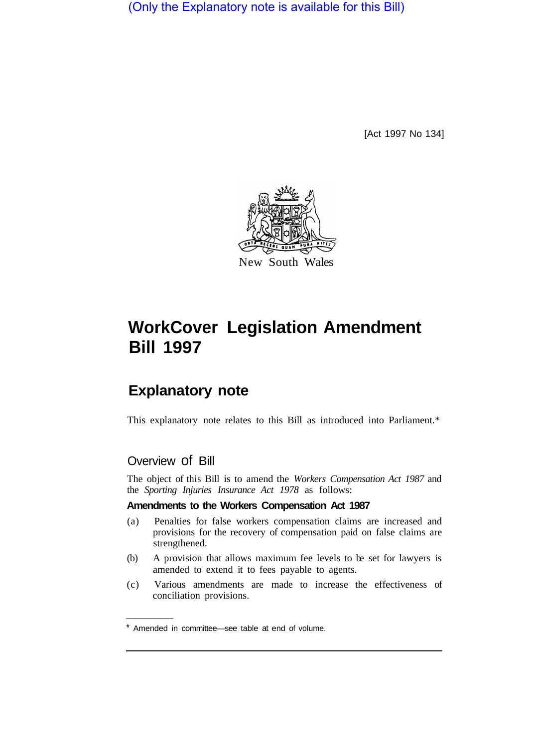(Only the Explanatory note is available for this Bill)

[Act 1997 No 134]



# **WorkCover Legislation Amendment Bill 1997**

## **Explanatory note**

This explanatory note relates to this Bill as introduced into Parliament.\*

## Overview of Bill

The object of this Bill is to amend the *Workers Compensation Act 1987* and the *Sporting Injuries Insurance Act 1978* as follows:

#### **Amendments to the Workers Compensation Act 1987**

- (a) Penalties for false workers compensation claims are increased and provisions for the recovery of compensation paid on false claims are strengthened.
- (b) A provision that allows maximum fee levels to be set for lawyers is amended to extend it to fees payable to agents.
- (c) Various amendments are made to increase the effectiveness of conciliation provisions.

<sup>\*</sup> Amended in committee—see table at end of volume.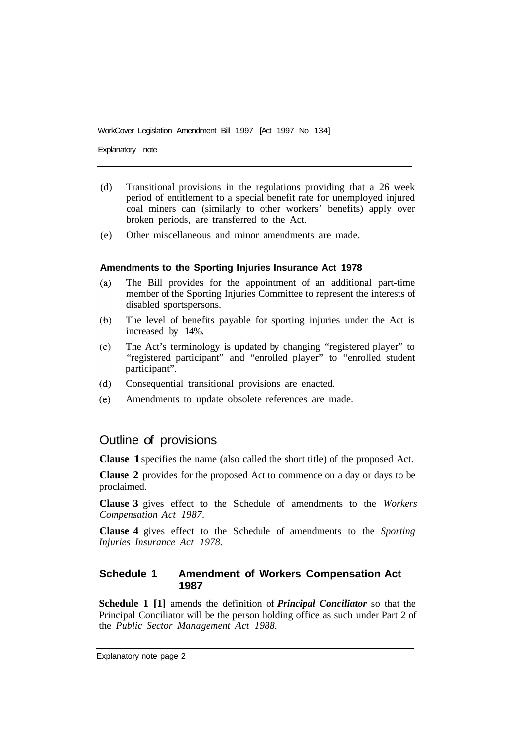Explanatory note

- (d) Transitional provisions in the regulations providing that a 26 week period of entitlement to a special benefit rate for unemployed injured coal miners can (similarly to other workers' benefits) apply over broken periods, are transferred to the Act.
- (e) Other miscellaneous and minor amendments are made.

#### **Amendments to the Sporting Injuries Insurance Act 1978**

- The Bill provides for the appointment of an additional part-time  $(a)$ member of the Sporting Injuries Committee to represent the interests of disabled sportspersons.
- $(b)$ The level of benefits payable for sporting injuries under the Act is increased by 14%.
- $(c)$ The Act's terminology is updated by changing "registered player" to "registered participant" and "enrolled player" to "enrolled student participant".
- Consequential transitional provisions are enacted.  $(d)$
- $(e)$ Amendments to update obsolete references are made.

## Outline of provisions

**Clause 1**specifies the name (also called the short title) of the proposed Act.

**Clause 2** provides for the proposed Act to commence on a day or days to be proclaimed.

**Clause 3** gives effect to the Schedule of amendments to the *Workers Compensation Act 1987.* 

**Clause 4** gives effect to the Schedule of amendments to the *Sporting Injuries Insurance Act 1978.* 

#### **Schedule 1 Amendment of Workers Compensation Act 1987**

**Schedule 1 [1]** amends the definition of *Principal Conciliator* so that the Principal Conciliator will be the person holding office as such under Part 2 of the *Public Sector Management Act 1988.*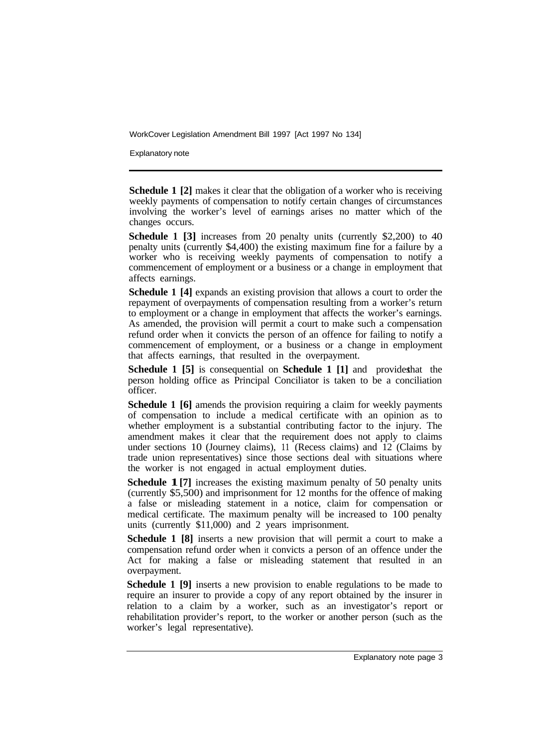Explanatory note

**Schedule 1** [2] makes it clear that the obligation of a worker who is receiving weekly payments of compensation to notify certain changes of circumstances involving the worker's level of earnings arises no matter which of the changes occurs.

**Schedule 1 [3]** increases from 20 penalty units (currently \$2,200) to 40 penalty units (currently \$4,400) the existing maximum fine for a failure by a worker who is receiving weekly payments of compensation to notify a commencement of employment or a business or a change in employment that affects earnings.

**Schedule 1 [4]** expands an existing provision that allows a court to order the repayment of overpayments of compensation resulting from a worker's return to employment or a change in employment that affects the worker's earnings. As amended, the provision will permit a court to make such a compensation refund order when it convicts the person of an offence for failing to notify a commencement of employment, or a business or a change in employment that affects earnings, that resulted in the overpayment.

**Schedule 1 [5]** is consequential on **Schedule 1 [1]** and provides that the person holding office as Principal Conciliator is taken to be a conciliation officer.

**Schedule 1 [6]** amends the provision requiring a claim for weekly payments of compensation to include a medical certificate with an opinion as to whether employment is a substantial contributing factor to the injury. The amendment makes it clear that the requirement does not apply to claims under sections 10 (Journey claims), 11 (Recess claims) and 12 (Claims by trade union representatives) since those sections deal with situations where the worker is not engaged in actual employment duties.

**Schedule 1**[7] increases the existing maximum penalty of 50 penalty units (currently \$5,500) and imprisonment for 12 months for the offence of making a false or misleading statement in a notice, claim for compensation or medical certificate. The maximum penalty will be increased to 100 penalty units (currently \$11,000) and 2 years imprisonment.

**Schedule 1 [8]** inserts a new provision that will permit a court to make a compensation refund order when it convicts a person of an offence under the Act for making a false or misleading statement that resulted in an overpayment.

**Schedule 1 [9]** inserts a new provision to enable regulations to be made to require an insurer to provide a copy of any report obtained by the insurer in relation to a claim by a worker, such as an investigator's report or rehabilitation provider's report, to the worker or another person (such as the worker's legal representative).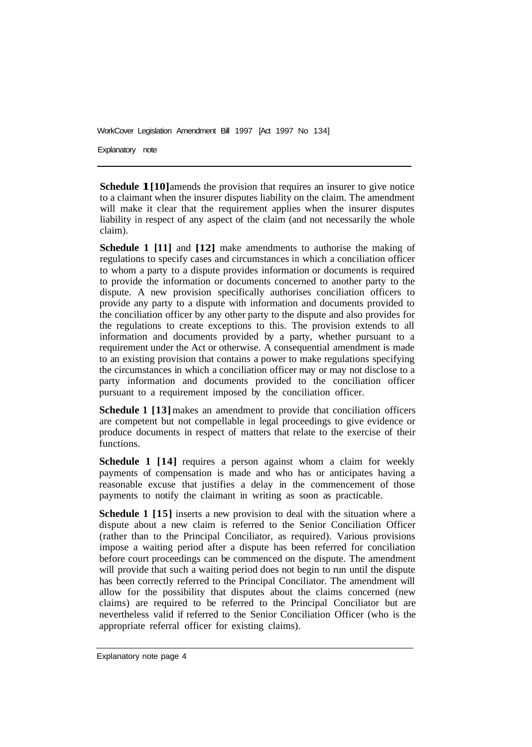Explanatory note

**Schedule 1[10]** amends the provision that requires an insurer to give notice to a claimant when the insurer disputes liability on the claim. The amendment will make it clear that the requirement applies when the insurer disputes liability in respect of any aspect of the claim (and not necessarily the whole claim).

**Schedule 1 [11] and [12] make amendments to authorise the making of** regulations to specify cases and circumstances in which a conciliation officer to whom a party to a dispute provides information or documents is required to provide the information or documents concerned to another party to the dispute. A new provision specifically authorises conciliation officers to provide any party to a dispute with information and documents provided to the conciliation officer by any other party to the dispute and also provides for the regulations to create exceptions to this. The provision extends to all information and documents provided by a party, whether pursuant to a requirement under the Act or otherwise. A consequential amendment is made to an existing provision that contains a power to make regulations specifying the circumstances in which a conciliation officer may or may not disclose to a party information and documents provided to the conciliation officer pursuant to a requirement imposed by the conciliation officer.

**Schedule 1 [13]** makes an amendment to provide that conciliation officers are competent but not compellable in legal proceedings to give evidence or produce documents in respect of matters that relate to the exercise of their functions.

**Schedule 1 [14]** requires a person against whom a claim for weekly payments of compensation is made and who has or anticipates having a reasonable excuse that justifies a delay in the commencement of those payments to notify the claimant in writing as soon as practicable.

**Schedule 1 [15]** inserts a new provision to deal with the situation where a dispute about a new claim is referred to the Senior Conciliation Officer (rather than to the Principal Conciliator, as required). Various provisions impose a waiting period after a dispute has been referred for conciliation before court proceedings can be commenced on the dispute. The amendment will provide that such a waiting period does not begin to run until the dispute has been correctly referred to the Principal Conciliator. The amendment will allow for the possibility that disputes about the claims concerned (new claims) are required to be referred to the Principal Conciliator but are nevertheless valid if referred to the Senior Conciliation Officer (who is the appropriate referral officer for existing claims).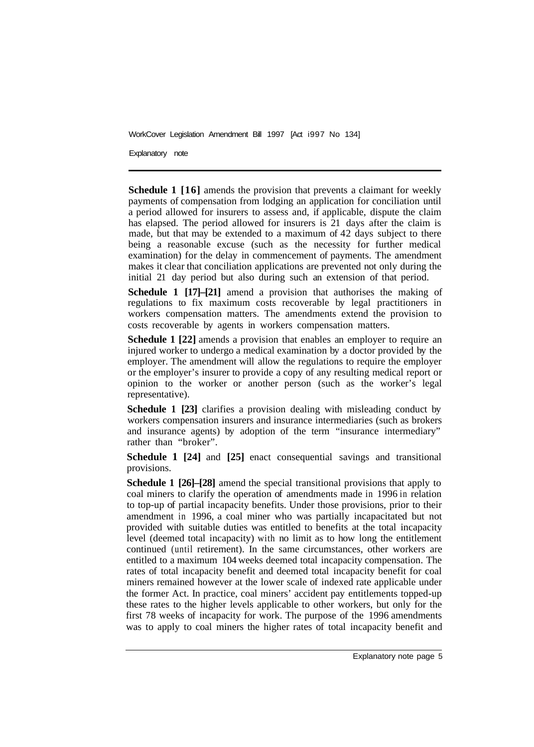Explanatory note

**Schedule 1 [16]** amends the provision that prevents a claimant for weekly payments of compensation from lodging an application for conciliation until a period allowed for insurers to assess and, if applicable, dispute the claim has elapsed. The period allowed for insurers is 21 days after the claim is made, but that may be extended to a maximum of 42 days subject to there being a reasonable excuse (such as the necessity for further medical examination) for the delay in commencement of payments. The amendment makes it clear that conciliation applications are prevented not only during the initial 21 day period but also during such an extension of that period.

**Schedule 1 [17]–[21]** amend a provision that authorises the making of regulations to fix maximum costs recoverable by legal practitioners in workers compensation matters. The amendments extend the provision to costs recoverable by agents in workers compensation matters.

**Schedule 1 [22]** amends a provision that enables an employer to require an injured worker to undergo a medical examination by a doctor provided by the employer. The amendment will allow the regulations to require the employer or the employer's insurer to provide a copy of any resulting medical report or opinion to the worker or another person (such as the worker's legal representative).

**Schedule 1 [23]** clarifies a provision dealing with misleading conduct by workers compensation insurers and insurance intermediaries (such as brokers and insurance agents) by adoption of the term "insurance intermediary" rather than "broker".

**Schedule 1 [24]** and **[25]** enact consequential savings and transitional provisions.

**Schedule 1 [26]–[28]** amend the special transitional provisions that apply to coal miners to clarify the operation of amendments made in 1996 in relation to top-up of partial incapacity benefits. Under those provisions, prior to their amendment in 1996, a coal miner who was partially incapacitated but not provided with suitable duties was entitled to benefits at the total incapacity level (deemed total incapacity) with no limit as to how long the entitlement continued (until retirement). In the same circumstances, other workers are entitled to a maximum 104 weeks deemed total incapacity compensation. The rates of total incapacity benefit and deemed total incapacity benefit for coal miners remained however at the lower scale of indexed rate applicable under the former Act. In practice, coal miners' accident pay entitlements topped-up these rates to the higher levels applicable to other workers, but only for the first 78 weeks of incapacity for work. The purpose of the 1996 amendments was to apply to coal miners the higher rates of total incapacity benefit and